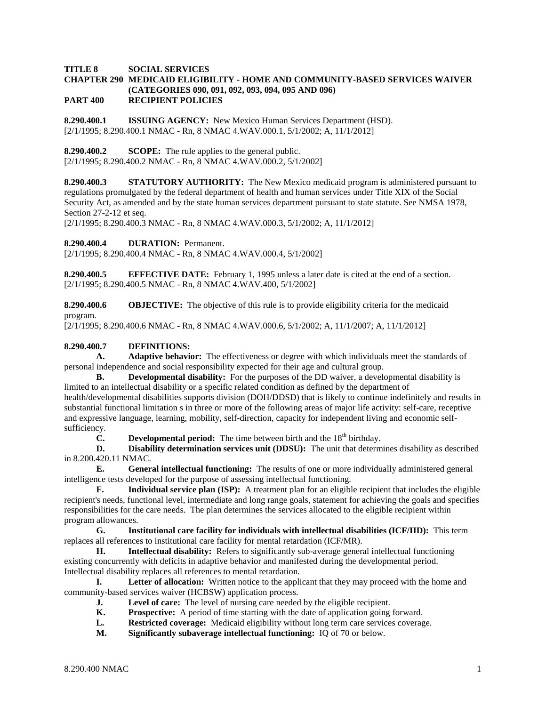### **TITLE 8 SOCIAL SERVICES**

#### **CHAPTER 290 MEDICAID ELIGIBILITY - HOME AND COMMUNITY-BASED SERVICES WAIVER (CATEGORIES 090, 091, 092, 093, 094, 095 AND 096) PART 400 RECIPIENT POLICIES**

**8.290.400.1 ISSUING AGENCY:** New Mexico Human Services Department (HSD). [2/1/1995; 8.290.400.1 NMAC - Rn, 8 NMAC 4.WAV.000.1, 5/1/2002; A, 11/1/2012]

**8.290.400.2 SCOPE:** The rule applies to the general public.

[2/1/1995; 8.290.400.2 NMAC - Rn, 8 NMAC 4.WAV.000.2, 5/1/2002]

**8.290.400.3 STATUTORY AUTHORITY:** The New Mexico medicaid program is administered pursuant to regulations promulgated by the federal department of health and human services under Title XIX of the Social Security Act, as amended and by the state human services department pursuant to state statute. See NMSA 1978, Section 27-2-12 et seq.

[2/1/1995; 8.290.400.3 NMAC - Rn, 8 NMAC 4.WAV.000.3, 5/1/2002; A, 11/1/2012]

**8.290.400.4 DURATION:** Permanent.

[2/1/1995; 8.290.400.4 NMAC - Rn, 8 NMAC 4.WAV.000.4, 5/1/2002]

**8.290.400.5 EFFECTIVE DATE:** February 1, 1995 unless a later date is cited at the end of a section. [2/1/1995; 8.290.400.5 NMAC - Rn, 8 NMAC 4.WAV.400, 5/1/2002]

**8.290.400.6 OBJECTIVE:** The objective of this rule is to provide eligibility criteria for the medicaid program.

[2/1/1995; 8.290.400.6 NMAC - Rn, 8 NMAC 4.WAV.000.6, 5/1/2002; A, 11/1/2007; A, 11/1/2012]

## **8.290.400.7 DEFINITIONS:**

**A. Adaptive behavior:** The effectiveness or degree with which individuals meet the standards of personal independence and social responsibility expected for their age and cultural group.

**B. Developmental disability:** For the purposes of the DD waiver, a developmental disability is limited to an intellectual disability or a specific related condition as defined by the department of health/developmental disabilities supports division (DOH/DDSD) that is likely to continue indefinitely and results in substantial functional limitation s in three or more of the following areas of major life activity: self-care, receptive and expressive language, learning, mobility, self-direction, capacity for independent living and economic selfsufficiency.

**C. Developmental period:** The time between birth and the  $18<sup>th</sup>$  birthday.

**D. Disability determination services unit (DDSU):** The unit that determines disability as described in 8.200.420.11 NMAC.

**E. General intellectual functioning:** The results of one or more individually administered general intelligence tests developed for the purpose of assessing intellectual functioning.

**F. Individual service plan (ISP):** A treatment plan for an eligible recipient that includes the eligible recipient's needs, functional level, intermediate and long range goals, statement for achieving the goals and specifies responsibilities for the care needs. The plan determines the services allocated to the eligible recipient within program allowances.

**G. Institutional care facility for individuals with intellectual disabilities (ICF/IID):** This term replaces all references to institutional care facility for mental retardation (ICF/MR).

**H. Intellectual disability:** Refers to significantly sub-average general intellectual functioning existing concurrently with deficits in adaptive behavior and manifested during the developmental period. Intellectual disability replaces all references to mental retardation.

**I. Letter of allocation:** Written notice to the applicant that they may proceed with the home and community-based services waiver (HCBSW) application process.

- **J. Level of care:** The level of nursing care needed by the eligible recipient.<br> **K. Prospective:** A period of time starting with the date of application going
- **Prospective:** A period of time starting with the date of application going forward.
- **L. Restricted coverage:** Medicaid eligibility without long term care services coverage.
- **M. Significantly subaverage intellectual functioning:** IQ of 70 or below.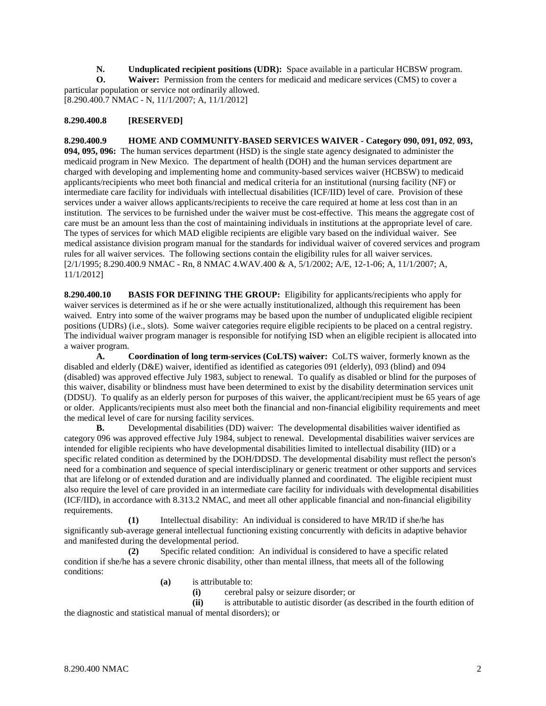**N. Unduplicated recipient positions (UDR):** Space available in a particular HCBSW program.<br> **O. Waiver:** Permission from the centers for medicaid and medicare services (CMS) to cover a

**Waiver:** Permission from the centers for medicaid and medicare services (CMS) to cover a particular population or service not ordinarily allowed.

[8.290.400.7 NMAC - N, 11/1/2007; A, 11/1/2012]

## **8.290.400.8 [RESERVED]**

**8.290.400.9 HOME AND COMMUNITY-BASED SERVICES WAIVER - Category 090, 091, 092**, **093, 094, 095, 096:** The human services department (HSD) is the single state agency designated to administer the medicaid program in New Mexico. The department of health (DOH) and the human services department are charged with developing and implementing home and community-based services waiver (HCBSW) to medicaid applicants/recipients who meet both financial and medical criteria for an institutional (nursing facility (NF) or intermediate care facility for individuals with intellectual disabilities (ICF/IID) level of care. Provision of these services under a waiver allows applicants/recipients to receive the care required at home at less cost than in an institution. The services to be furnished under the waiver must be cost-effective. This means the aggregate cost of care must be an amount less than the cost of maintaining individuals in institutions at the appropriate level of care. The types of services for which MAD eligible recipients are eligible vary based on the individual waiver. See medical assistance division program manual for the standards for individual waiver of covered services and program rules for all waiver services. The following sections contain the eligibility rules for all waiver services. [2/1/1995; 8.290.400.9 NMAC - Rn, 8 NMAC 4.WAV.400 & A, 5/1/2002; A/E, 12-1-06; A, 11/1/2007; A, 11/1/2012]

**8.290.400.10 BASIS FOR DEFINING THE GROUP:** Eligibility for applicants/recipients who apply for waiver services is determined as if he or she were actually institutionalized, although this requirement has been waived. Entry into some of the waiver programs may be based upon the number of unduplicated eligible recipient positions (UDRs) (i.e., slots). Some waiver categories require eligible recipients to be placed on a central registry. The individual waiver program manager is responsible for notifying ISD when an eligible recipient is allocated into a waiver program.

**A. Coordination of long term-services (CoLTS) waiver:** CoLTS waiver, formerly known as the disabled and elderly (D&E) waiver, identified as identified as categories 091 (elderly), 093 (blind) and 094 (disabled) was approved effective July 1983, subject to renewal. To qualify as disabled or blind for the purposes of this waiver, disability or blindness must have been determined to exist by the disability determination services unit (DDSU). To qualify as an elderly person for purposes of this waiver, the applicant/recipient must be 65 years of age or older. Applicants/recipients must also meet both the financial and non-financial eligibility requirements and meet the medical level of care for nursing facility services.

**B.** Developmental disabilities (DD) waiver: The developmental disabilities waiver identified as category 096 was approved effective July 1984, subject to renewal. Developmental disabilities waiver services are intended for eligible recipients who have developmental disabilities limited to intellectual disability (IID) or a specific related condition as determined by the DOH/DDSD. The developmental disability must reflect the person's need for a combination and sequence of special interdisciplinary or generic treatment or other supports and services that are lifelong or of extended duration and are individually planned and coordinated. The eligible recipient must also require the level of care provided in an intermediate care facility for individuals with developmental disabilities (ICF/IID), in accordance with 8.313.2 NMAC, and meet all other applicable financial and non-financial eligibility requirements.

**(1)** Intellectual disability: An individual is considered to have MR/ID if she/he has significantly sub-average general intellectual functioning existing concurrently with deficits in adaptive behavior and manifested during the developmental period.

**(2)** Specific related condition: An individual is considered to have a specific related condition if she/he has a severe chronic disability, other than mental illness, that meets all of the following conditions:

- **(a)** is attributable to:
	- **(i)** cerebral palsy or seizure disorder; or

**(ii)** is attributable to autistic disorder (as described in the fourth edition of the diagnostic and statistical manual of mental disorders); or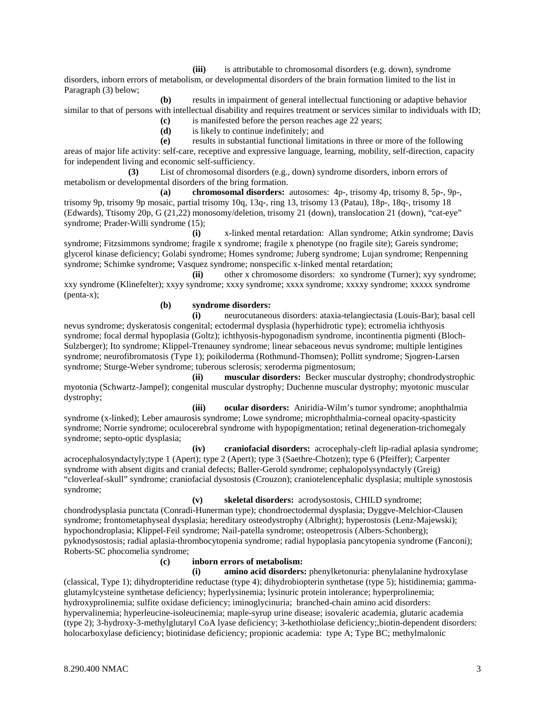**(iii)** is attributable to chromosomal disorders (e.g. down), syndrome disorders, inborn errors of metabolism, or developmental disorders of the brain formation limited to the list in Paragraph (3) below;

**(b)** results in impairment of general intellectual functioning or adaptive behavior similar to that of persons with intellectual disability and requires treatment or services similar to individuals with ID;

**(c)** is manifested before the person reaches age 22 years;

**(d)** is likely to continue indefinitely; and

**(e)** results in substantial functional limitations in three or more of the following areas of major life activity: self-care, receptive and expressive language, learning, mobility, self-direction, capacity for independent living and economic self-sufficiency.

**(3)** List of chromosomal disorders (e.g., down) syndrome disorders, inborn errors of metabolism or developmental disorders of the bring formation.

**(a) chromosomal disorders:** autosomes: 4p-, trisomy 4p, trisomy 8, 5p-, 9p-, trisomy 9p, trisomy 9p mosaic, partial trisomy 10q, 13q-, ring 13, trisomy 13 (Patau), 18p-, 18q-, trisomy 18 (Edwards), Ttisomy 20p, G (21,22) monosomy/deletion, trisomy 21 (down), translocation 21 (down), "cat-eve" syndrome; Prader-Willi syndrome (15);

**(i)** x-linked mental retardation: Allan syndrome; Atkin syndrome; Davis syndrome; Fitzsimmons syndrome; fragile x syndrome; fragile x phenotype (no fragile site); Gareis syndrome; glycerol kinase deficiency; Golabi syndrome; Homes syndrome; Juberg syndrome; Lujan syndrome; Renpenning syndrome; Schimke syndrome; Vasquez syndrome; nonspecific x-linked mental retardation;

**(ii)** other x chromosome disorders: xo syndrome (Turner); xyy syndrome; xxy syndrome (Klinefelter); xxyy syndrome; xxxy syndrome; xxxx syndrome; xxxxy syndrome; xxxxx syndrome (penta-x);

### **(b) syndrome disorders:**

**(i)** neurocutaneous disorders: ataxia-telangiectasia (Louis-Bar); basal cell nevus syndrome; dyskeratosis congenital; ectodermal dysplasia (hyperhidrotic type); ectromelia ichthyosis syndrome; focal dermal hypoplasia (Goltz); ichthyosis-hypogonadism syndrome, incontinentia pigmenti (Bloch-Sulzberger); Ito syndrome; Klippel-Trenauney syndrome; linear sebaceous nevus syndrome; multiple lentigines syndrome; neurofibromatosis (Type 1); poikiloderma (Rothmund-Thomsen); Pollitt syndrome; Sjogren-Larsen syndrome; Sturge-Weber syndrome; tuberous sclerosis; xeroderma pigmentosum;

**(ii) muscular disorders:** Becker muscular dystrophy; chondrodystrophic myotonia (Schwartz-Jampel); congenital muscular dystrophy; Duchenne muscular dystrophy; myotonic muscular dystrophy;

**(iii) ocular disorders:** Aniridia-Wilm's tumor syndrome; anophthalmia syndrome (x-linked); Leber amaurosis syndrome; Lowe syndrome; microphthalmia-corneal opacity-spasticity syndrome; Norrie syndrome; oculocerebral syndrome with hypopigmentation; retinal degeneration-trichomegaly syndrome; septo-optic dysplasia;

**(iv) craniofacial disorders:** acrocephaly-cleft lip-radial aplasia syndrome; acrocephalosyndactyly;type 1 (Apert); type 2 (Apert); type 3 (Saethre-Chotzen); type 6 (Pfeiffer); Carpenter syndrome with absent digits and cranial defects; Baller-Gerold syndrome; cephalopolysyndactyly (Greig) "cloverleaf-skull" syndrome; craniofacial dysostosis (Crouzon); craniotelencephalic dysplasia; multiple synostosis syndrome;

**(v) skeletal disorders:** acrodysostosis, CHILD syndrome; chondrodysplasia punctata (Conradi-Hunerman type); chondroectodermal dysplasia; Dyggve-Melchior-Clausen syndrome; frontometaphyseal dysplasia; hereditary osteodystrophy (Albright); hyperostosis (Lenz-Majewski); hypochondroplasia; Klippel-Feil syndrome; Nail-patella syndrome; osteopetrosis (Albers-Schonberg); pyknodysostosis; radial aplasia-thrombocytopenia syndrome; radial hypoplasia pancytopenia syndrome (Fanconi); Roberts-SC phocomelia syndrome;

**(c) inborn errors of metabolism:**

**(i) amino acid disorders:** phenylketonuria: phenylalanine hydroxylase (classical, Type 1); dihydropteridine reductase (type 4); dihydrobiopterin synthetase (type 5); histidinemia; gammaglutamylcysteine synthetase deficiency; hyperlysinemia; lysinuric protein intolerance; hyperprolinemia; hydroxyprolinemia; sulfite oxidase deficiency; iminoglycinuria; branched-chain amino acid disorders: hypervalinemia; hyperleucine-isoleucinemia; maple-syrup urine disease; isovaleric academia, glutaric academia (type 2); 3-hydroxy-3-methylglutaryl CoA lyase deficiency; 3-kethothiolase deficiency;,biotin-dependent disorders: holocarboxylase deficiency; biotinidase deficiency; propionic academia: type A; Type BC; methylmalonic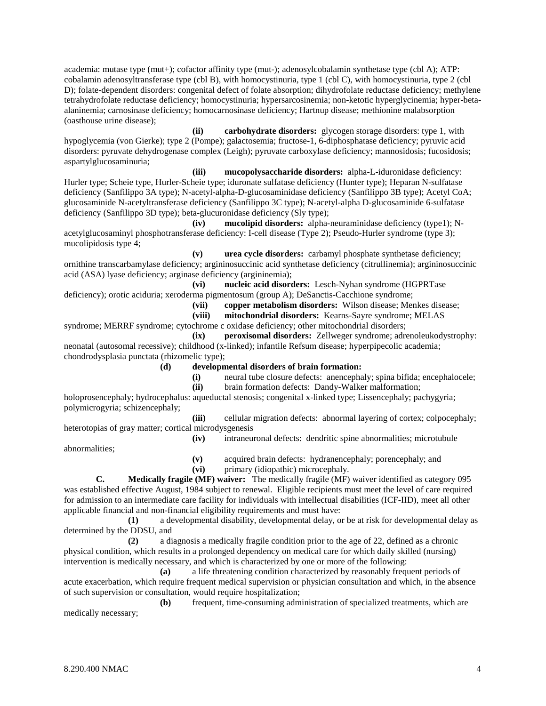academia: mutase type (mut+); cofactor affinity type (mut-); adenosylcobalamin synthetase type (cbl A); ATP: cobalamin adenosyltransferase type (cbl B), with homocystinuria, type 1 (cbl C), with homocystinuria, type 2 (cbl D); folate-dependent disorders: congenital defect of folate absorption; dihydrofolate reductase deficiency; methylene tetrahydrofolate reductase deficiency; homocystinuria; hypersarcosinemia; non-ketotic hyperglycinemia; hyper-betaalaninemia; carnosinase deficiency; homocarnosinase deficiency; Hartnup disease; methionine malabsorption (oasthouse urine disease);

**(ii) carbohydrate disorders:** glycogen storage disorders: type 1, with hypoglycemia (von Gierke); type 2 (Pompe); galactosemia; fructose-1, 6-diphosphatase deficiency; pyruvic acid disorders: pyruvate dehydrogenase complex (Leigh); pyruvate carboxylase deficiency; mannosidosis; fucosidosis; aspartylglucosaminuria;

**(iii) mucopolysaccharide disorders:** alpha-L-iduronidase deficiency: Hurler type; Scheie type, Hurler-Scheie type; iduronate sulfatase deficiency (Hunter type); Heparan N-sulfatase deficiency (Sanfilippo 3A type); N-acetyl-alpha-D-glucosaminidase deficiency (Sanfilippo 3B type); Acetyl CoA; glucosaminide N-acetyltransferase deficiency (Sanfilippo 3C type); N-acetyl-alpha D-glucosaminide 6-sulfatase deficiency (Sanfilippo 3D type); beta-glucuronidase deficiency (Sly type);

**(iv) mucolipid disorders:** alpha-neuraminidase deficiency (type1); Nacetylglucosaminyl phosphotransferase deficiency: I-cell disease (Type 2); Pseudo-Hurler syndrome (type 3); mucolipidosis type 4;

**(v) urea cycle disorders:** carbamyl phosphate synthetase deficiency; ornithine transcarbamylase deficiency; argininosuccinic acid synthetase deficiency (citrullinemia); argininosuccinic acid (ASA) lyase deficiency; arginase deficiency (argininemia);

**(vi) nucleic acid disorders:** Lesch-Nyhan syndrome (HGPRTase deficiency); orotic aciduria; xeroderma pigmentosum (group A); DeSanctis-Cacchione syndrome;

**(vii) copper metabolism disorders:** Wilson disease; Menkes disease;

**(viii) mitochondrial disorders:** Kearns-Sayre syndrome; MELAS

syndrome; MERRF syndrome; cytochrome c oxidase deficiency; other mitochondrial disorders;

**(ix) peroxisomal disorders:** Zellweger syndrome; adrenoleukodystrophy: neonatal (autosomal recessive); childhood (x-linked); infantile Refsum disease; hyperpipecolic academia; chondrodysplasia punctata (rhizomelic type);

- **(d) developmental disorders of brain formation:**
	- **(i)** neural tube closure defects: anencephaly; spina bifida; encephalocele;
	- **(ii)** brain formation defects: Dandy-Walker malformation;

holoprosencephaly; hydrocephalus: aqueductal stenosis; congenital x-linked type; Lissencephaly; pachygyria; polymicrogyria; schizencephaly;

**(iii)** cellular migration defects: abnormal layering of cortex; colpocephaly; heterotopias of gray matter; cortical microdysgenesis **(iv)** intraneuronal defects: dendritic spine abnormalities; microtubule

abnormalities;

**(v)** acquired brain defects: hydranencephaly; porencephaly; and

**(vi)** primary (idiopathic) microcephaly.

**C. Medically fragile (MF) waiver:** The medically fragile (MF) waiver identified as category 095 was established effective August, 1984 subject to renewal. Eligible recipients must meet the level of care required for admission to an intermediate care facility for individuals with intellectual disabilities (ICF-IID), meet all other applicable financial and non-financial eligibility requirements and must have:

**(1)** a developmental disability, developmental delay, or be at risk for developmental delay as determined by the DDSU, and

**(2)** a diagnosis a medically fragile condition prior to the age of 22, defined as a chronic physical condition, which results in a prolonged dependency on medical care for which daily skilled (nursing) intervention is medically necessary, and which is characterized by one or more of the following:

**(a)** a life threatening condition characterized by reasonably frequent periods of acute exacerbation, which require frequent medical supervision or physician consultation and which, in the absence of such supervision or consultation, would require hospitalization;

**(b)** frequent, time-consuming administration of specialized treatments, which are medically necessary;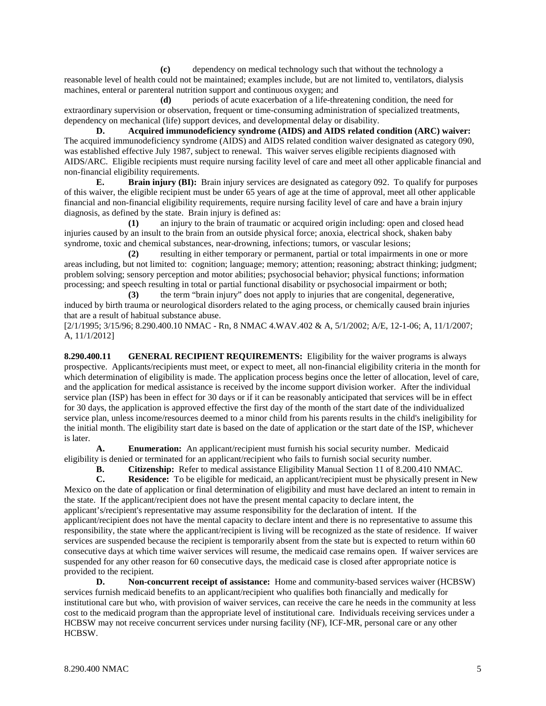**(c)** dependency on medical technology such that without the technology a reasonable level of health could not be maintained; examples include, but are not limited to, ventilators, dialysis machines, enteral or parenteral nutrition support and continuous oxygen; and

**(d)** periods of acute exacerbation of a life-threatening condition, the need for extraordinary supervision or observation, frequent or time-consuming administration of specialized treatments, dependency on mechanical (life) support devices, and developmental delay or disability.

**D. Acquired immunodeficiency syndrome (AIDS) and AIDS related condition (ARC) waiver:** The acquired immunodeficiency syndrome (AIDS) and AIDS related condition waiver designated as category 090, was established effective July 1987, subject to renewal. This waiver serves eligible recipients diagnosed with AIDS/ARC. Eligible recipients must require nursing facility level of care and meet all other applicable financial and non-financial eligibility requirements.

**E. Brain injury (BI):** Brain injury services are designated as category 092. To qualify for purposes of this waiver, the eligible recipient must be under 65 years of age at the time of approval, meet all other applicable financial and non-financial eligibility requirements, require nursing facility level of care and have a brain injury diagnosis, as defined by the state. Brain injury is defined as:

**(1)** an injury to the brain of traumatic or acquired origin including: open and closed head injuries caused by an insult to the brain from an outside physical force; anoxia, electrical shock, shaken baby syndrome, toxic and chemical substances, near-drowning, infections; tumors, or vascular lesions;

**(2)** resulting in either temporary or permanent, partial or total impairments in one or more areas including, but not limited to: cognition; language; memory; attention; reasoning; abstract thinking; judgment; problem solving; sensory perception and motor abilities; psychosocial behavior; physical functions; information processing; and speech resulting in total or partial functional disability or psychosocial impairment or both;

**(3)** the term "brain injury" does not apply to injuries that are congenital, degenerative, induced by birth trauma or neurological disorders related to the aging process, or chemically caused brain injuries that are a result of habitual substance abuse.

[2/1/1995; 3/15/96; 8.290.400.10 NMAC - Rn, 8 NMAC 4.WAV.402 & A, 5/1/2002; A/E, 12-1-06; A, 11/1/2007; A, 11/1/2012]

**8.290.400.11 GENERAL RECIPIENT REQUIREMENTS:** Eligibility for the waiver programs is always prospective. Applicants/recipients must meet, or expect to meet, all non-financial eligibility criteria in the month for which determination of eligibility is made. The application process begins once the letter of allocation, level of care, and the application for medical assistance is received by the income support division worker. After the individual service plan (ISP) has been in effect for 30 days or if it can be reasonably anticipated that services will be in effect for 30 days, the application is approved effective the first day of the month of the start date of the individualized service plan, unless income/resources deemed to a minor child from his parents results in the child's ineligibility for the initial month. The eligibility start date is based on the date of application or the start date of the ISP, whichever is later.

**A. Enumeration:** An applicant/recipient must furnish his social security number. Medicaid eligibility is denied or terminated for an applicant/recipient who fails to furnish social security number.

**B. Citizenship:** Refer to medical assistance Eligibility Manual Section 11 of 8.200.410 NMAC.<br> **C. Residence:** To be eligible for medicaid, an applicant/recipient must be physically present in N

**Residence:** To be eligible for medicaid, an applicant/recipient must be physically present in New Mexico on the date of application or final determination of eligibility and must have declared an intent to remain in the state. If the applicant/recipient does not have the present mental capacity to declare intent, the applicant's/recipient's representative may assume responsibility for the declaration of intent. If the applicant/recipient does not have the mental capacity to declare intent and there is no representative to assume this responsibility, the state where the applicant/recipient is living will be recognized as the state of residence. If waiver services are suspended because the recipient is temporarily absent from the state but is expected to return within 60 consecutive days at which time waiver services will resume, the medicaid case remains open. If waiver services are suspended for any other reason for 60 consecutive days, the medicaid case is closed after appropriate notice is provided to the recipient.

**D. Non-concurrent receipt of assistance:** Home and community-based services waiver (HCBSW) services furnish medicaid benefits to an applicant/recipient who qualifies both financially and medically for institutional care but who, with provision of waiver services, can receive the care he needs in the community at less cost to the medicaid program than the appropriate level of institutional care. Individuals receiving services under a HCBSW may not receive concurrent services under nursing facility (NF), ICF-MR, personal care or any other HCBSW.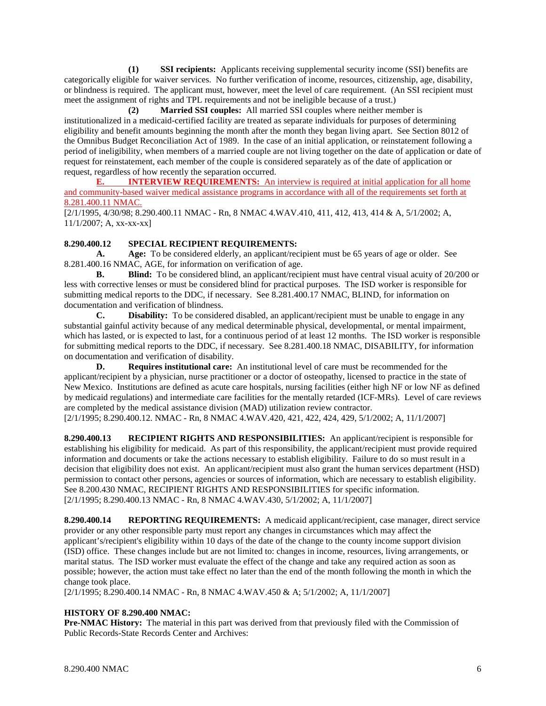**(1) SSI recipients:** Applicants receiving supplemental security income (SSI) benefits are categorically eligible for waiver services. No further verification of income, resources, citizenship, age, disability, or blindness is required. The applicant must, however, meet the level of care requirement. (An SSI recipient must meet the assignment of rights and TPL requirements and not be ineligible because of a trust.)

**(2) Married SSI couples:** All married SSI couples where neither member is institutionalized in a medicaid-certified facility are treated as separate individuals for purposes of determining eligibility and benefit amounts beginning the month after the month they began living apart. See Section 8012 of the Omnibus Budget Reconciliation Act of 1989. In the case of an initial application, or reinstatement following a period of ineligibility, when members of a married couple are not living together on the date of application or date of request for reinstatement, each member of the couple is considered separately as of the date of application or request, regardless of how recently the separation occurred.

**E. INTERVIEW REQUIREMENTS:** An interview is required at initial application for all home and community-based waiver medical assistance programs in accordance with all of the requirements set forth at 8.281.400.11 NMAC.

[2/1/1995, 4/30/98; 8.290.400.11 NMAC - Rn, 8 NMAC 4.WAV.410, 411, 412, 413, 414 & A, 5/1/2002; A, 11/1/2007; A, xx-xx-xx]

## **8.290.400.12 SPECIAL RECIPIENT REQUIREMENTS:**

**A. Age:** To be considered elderly, an applicant/recipient must be 65 years of age or older. See 8.281.400.16 NMAC, AGE, for information on verification of age.

**B. Blind:** To be considered blind, an applicant/recipient must have central visual acuity of 20/200 or less with corrective lenses or must be considered blind for practical purposes. The ISD worker is responsible for submitting medical reports to the DDC, if necessary. See 8.281.400.17 NMAC, BLIND, for information on documentation and verification of blindness.

**C. Disability:** To be considered disabled, an applicant/recipient must be unable to engage in any substantial gainful activity because of any medical determinable physical, developmental, or mental impairment, which has lasted, or is expected to last, for a continuous period of at least 12 months. The ISD worker is responsible for submitting medical reports to the DDC, if necessary. See 8.281.400.18 NMAC, DISABILITY, for information on documentation and verification of disability.

**D. Requires institutional care:** An institutional level of care must be recommended for the applicant/recipient by a physician, nurse practitioner or a doctor of osteopathy, licensed to practice in the state of New Mexico. Institutions are defined as acute care hospitals, nursing facilities (either high NF or low NF as defined by medicaid regulations) and intermediate care facilities for the mentally retarded (ICF-MRs). Level of care reviews are completed by the medical assistance division (MAD) utilization review contractor. [2/1/1995; 8.290.400.12. NMAC - Rn, 8 NMAC 4.WAV.420, 421, 422, 424, 429, 5/1/2002; A, 11/1/2007]

**8.290.400.13 RECIPIENT RIGHTS AND RESPONSIBILITIES:** An applicant/recipient is responsible for establishing his eligibility for medicaid. As part of this responsibility, the applicant/recipient must provide required information and documents or take the actions necessary to establish eligibility. Failure to do so must result in a decision that eligibility does not exist. An applicant/recipient must also grant the human services department (HSD) permission to contact other persons, agencies or sources of information, which are necessary to establish eligibility. See 8.200.430 NMAC, RECIPIENT RIGHTS AND RESPONSIBILITIES for specific information. [2/1/1995; 8.290.400.13 NMAC - Rn, 8 NMAC 4.WAV.430, 5/1/2002; A, 11/1/2007]

**8.290.400.14 REPORTING REQUIREMENTS:** A medicaid applicant/recipient, case manager, direct service provider or any other responsible party must report any changes in circumstances which may affect the applicant's/recipient's eligibility within 10 days of the date of the change to the county income support division (ISD) office. These changes include but are not limited to: changes in income, resources, living arrangements, or marital status. The ISD worker must evaluate the effect of the change and take any required action as soon as possible; however, the action must take effect no later than the end of the month following the month in which the change took place.

[2/1/1995; 8.290.400.14 NMAC - Rn, 8 NMAC 4.WAV.450 & A; 5/1/2002; A, 11/1/2007]

## **HISTORY OF 8.290.400 NMAC:**

**Pre-NMAC History:** The material in this part was derived from that previously filed with the Commission of Public Records-State Records Center and Archives: